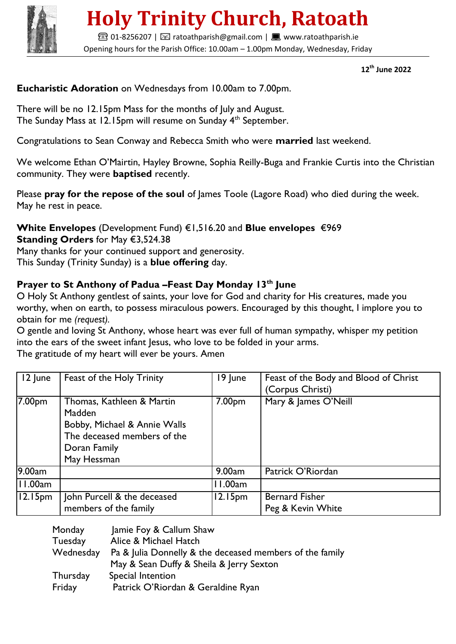

# **Holy Trinity Church, Ratoath**

**■01-8256207 | ⊠ ratoathparish@gmail.com | ■ www.ratoathparish.ie** Opening hours for the Parish Office: 10.00am – 1.00pm Monday, Wednesday, Friday

 **12th June 2022**

### **Eucharistic Adoration** on Wednesdays from 10.00am to 7.00pm.

There will be no 12.15pm Mass for the months of July and August. The Sunday Mass at 12.15pm will resume on Sunday 4th September.

Congratulations to Sean Conway and Rebecca Smith who were **married** last weekend.

We welcome Ethan O'Mairtin, Hayley Browne, Sophia Reilly-Buga and Frankie Curtis into the Christian community. They were **baptised** recently.

Please **pray for the repose of the soul** of James Toole (Lagore Road) who died during the week. May he rest in peace.

#### **White Envelopes** (Development Fund) €1,516.20 and **Blue envelopes** €969 **Standing Orders** for May €3,524.38

Many thanks for your continued support and generosity.

This Sunday (Trinity Sunday) is a **blue offering** day.

# **Prayer to St Anthony of Padua –Feast Day Monday 13th June**

O Holy St Anthony gentlest of saints, your love for God and charity for His creatures, made you worthy, when on earth, to possess miraculous powers. Encouraged by this thought, I implore you to obtain for me *(request).*

O gentle and loving St Anthony, whose heart was ever full of human sympathy, whisper my petition into the ears of the sweet infant Jesus, who love to be folded in your arms.

The gratitude of my heart will ever be yours. Amen

| 12 June             | Feast of the Holy Trinity                                                                                                         | 19 June             | Feast of the Body and Blood of Christ<br>(Corpus Christi) |
|---------------------|-----------------------------------------------------------------------------------------------------------------------------------|---------------------|-----------------------------------------------------------|
| 7.00pm              | Thomas, Kathleen & Martin<br>Madden<br>Bobby, Michael & Annie Walls<br>The deceased members of the<br>Doran Family<br>May Hessman | 7.00 <sub>pm</sub>  | Mary & James O'Neill                                      |
| 9.00am              |                                                                                                                                   | 9.00am              | Patrick O'Riordan                                         |
| 11.00am             |                                                                                                                                   | 11.00am             |                                                           |
| 12.15 <sub>pm</sub> | John Purcell & the deceased<br>members of the family                                                                              | 12.15 <sub>pm</sub> | <b>Bernard Fisher</b><br>Peg & Kevin White                |

| Monday             | Jamie Foy & Callum Shaw                                                                              |
|--------------------|------------------------------------------------------------------------------------------------------|
| Tuesday            | Alice & Michael Hatch                                                                                |
| Wednesday          | Pa & Julia Donnelly & the deceased members of the family<br>May & Sean Duffy & Sheila & Jerry Sexton |
| Thursday<br>Friday | Special Intention<br>Patrick O'Riordan & Geraldine Ryan                                              |